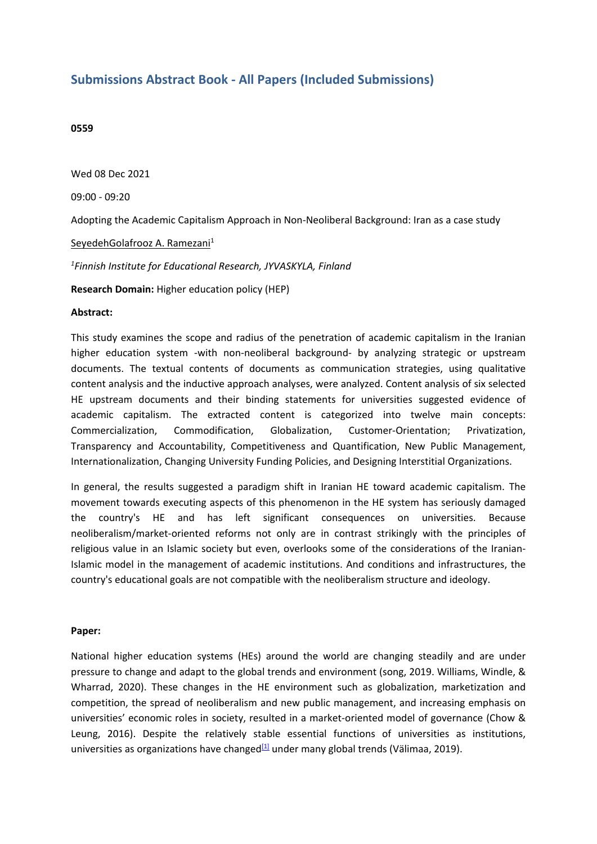# **Submissions Abstract Book - All Papers (Included Submissions)**

## **0559**

Wed 08 Dec 2021

09:00 - 09:20

Adopting the Academic Capitalism Approach in Non-Neoliberal Background: Iran as <sup>a</sup> case study

SeyedehGolafrooz A. Ramezani 1

*1 Finnish Institute for Educational Research, JYVASKYLA, Finland*

**Research Domain:** Higher education policy (HEP)

### **Abstract:**

This study examines the scope and radius of the penetration of academic capitalism in the Iranian higher education system -with non-neoliberal background- by analyzing strategic or upstream documents. The textual contents of documents as communication strategies, using qualitative content analysis and the inductive approach analyses, were analyzed. Content analysis of six selected HE upstream documents and their binding statements for universities suggested evidence of academic capitalism. The extracted content is categorized into twelve main concepts: Commercialization, Commodification, Globalization, Customer-Orientation; Privatization, Transparency and Accountability, Competitiveness and Quantification, New Public Management, Internationalization, Changing University Funding Policies, and Designing Interstitial Organizations.

In general, the results suggested <sup>a</sup> paradigm shift in Iranian HE toward academic capitalism. The movement towards executing aspects of this phenomenon in the HE system has seriously damaged the country's HE and has left significant consequences on universities. Because neoliberalism/market-oriented reforms not only are in contrast strikingly with the principles of religious value in an Islamic society but even, overlooks some of the considerations of the Iranian-Islamic model in the management of academic institutions. And conditions and infrastructures, the country's educational goals are not compatible with the neoliberalism structure and ideology.

### **Paper:**

National higher education systems (HEs) around the world are changing steadily and are under pressure to change and adapt to the global trends and environment (song, 2019. Williams, Windle, & Wharrad, 2020). These changes in the HE environment such as globalization, marketization and competition, the spread of neoliberalism and new public management, and increasing emphasis on universities' economic roles in society, resulted in <sup>a</sup> market-oriented model of governance (Chow & Leung, 2016). Despite the relatively stable essential functions of universities as institutions, universities as organizations have changed<sup>[1]</sup> under many global trends (Välimaa, 2019).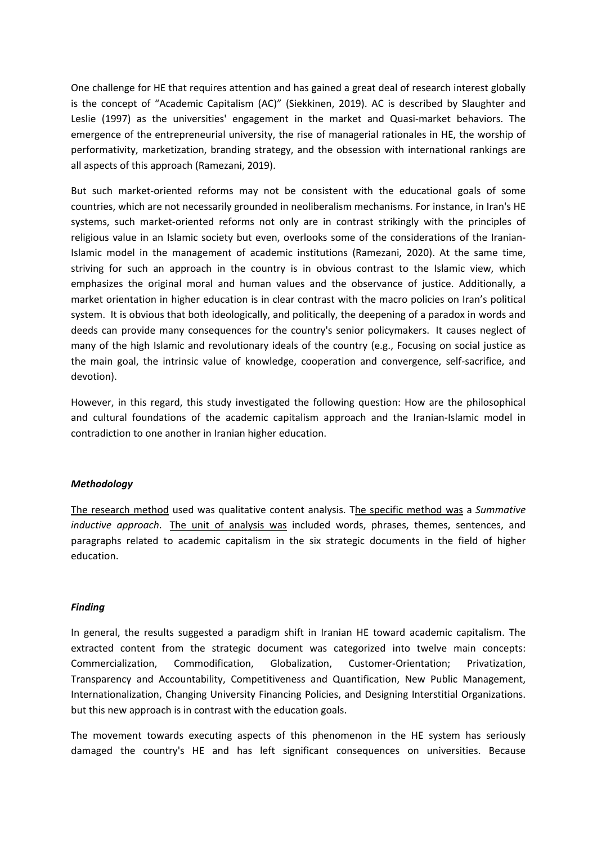One challenge for HE that requires attention and has gained <sup>a</sup> great deal of research interest globally is the concept of "Academic Capitalism (AC)" (Siekkinen, 2019). AC is described by Slaughter and Leslie (1997) as the universities' engagement in the market and Quasi-market behaviors. The emergence of the entrepreneurial university, the rise of managerial rationales in HE, the worship of performativity, marketization, branding strategy, and the obsession with international rankings are all aspects of this approach (Ramezani, 2019).

But such market-oriented reforms may not be consistent with the educational goals of some countries, which are not necessarily grounded in neoliberalism mechanisms. For instance, in Iran's HE systems, such market-oriented reforms not only are in contrast strikingly with the principles of religious value in an Islamic society but even, overlooks some of the considerations of the Iranian-Islamic model in the management of academic institutions (Ramezani, 2020). At the same time, striving for such an approach in the country is in obvious contrast to the Islamic view, which emphasizes the original moral and human values and the observance of justice. Additionally, <sup>a</sup> market orientation in higher education is in clear contrast with the macro policies on Iran's political system. It is obvious that both ideologically, and politically, the deepening of <sup>a</sup> paradox in words and deeds can provide many consequences for the country's senior policymakers. It causes neglect of many of the high Islamic and revolutionary ideals of the country (e.g., Focusing on social justice as the main goal, the intrinsic value of knowledge, cooperation and convergence, self-sacrifice, and devotion).

However, in this regard, this study investigated the following question: How are the philosophical and cultural foundations of the academic capitalism approach and the Iranian-Islamic model in contradiction to one another in Iranian higher education.

## *Methodology*

The research method used was qualitative content analysis. The specific method was <sup>a</sup> *Summative inductive approach*. The unit of analysis was included words, phrases, themes, sentences, and paragraphs related to academic capitalism in the six strategic documents in the field of higher education.

### *Finding*

In general, the results suggested <sup>a</sup> paradigm shift in Iranian HE toward academic capitalism. The extracted content from the strategic document was categorized into twelve main concepts: Commercialization, Commodification, Globalization, Customer-Orientation; Privatization, Transparency and Accountability, Competitiveness and Quantification, New Public Management, Internationalization, Changing University Financing Policies, and Designing Interstitial Organizations. but this new approach is in contrast with the education goals.

The movement towards executing aspects of this phenomenon in the HE system has seriously damaged the country's HE and has left significant consequences on universities. Because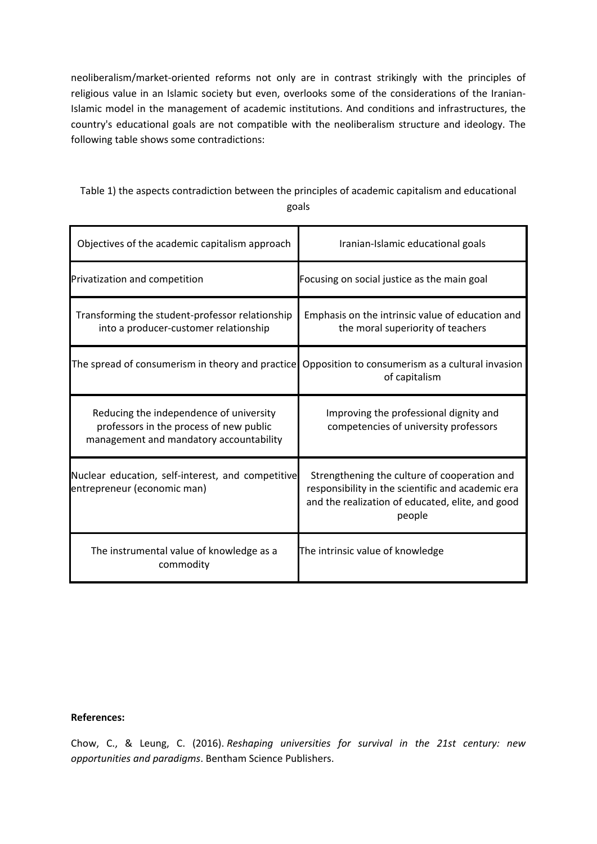neoliberalism/market-oriented reforms not only are in contrast strikingly with the principles of religious value in an Islamic society but even, overlooks some of the considerations of the Iranian-Islamic model in the management of academic institutions. And conditions and infrastructures, the country's educational goals are not compatible with the neoliberalism structure and ideology. The following table shows some contradictions:

# Table 1) the aspects contradiction between the principles of academic capitalism and educational goals

| Objectives of the academic capitalism approach                                                                                | Iranian-Islamic educational goals                                                                                                                               |
|-------------------------------------------------------------------------------------------------------------------------------|-----------------------------------------------------------------------------------------------------------------------------------------------------------------|
| Privatization and competition                                                                                                 | Focusing on social justice as the main goal                                                                                                                     |
| Transforming the student-professor relationship<br>into a producer-customer relationship                                      | Emphasis on the intrinsic value of education and<br>the moral superiority of teachers                                                                           |
| The spread of consumerism in theory and practice                                                                              | Opposition to consumerism as a cultural invasion<br>of capitalism                                                                                               |
| Reducing the independence of university<br>professors in the process of new public<br>management and mandatory accountability | Improving the professional dignity and<br>competencies of university professors                                                                                 |
| Nuclear education, self-interest, and competitive<br>entrepreneur (economic man)                                              | Strengthening the culture of cooperation and<br>responsibility in the scientific and academic era<br>and the realization of educated, elite, and good<br>people |
| The instrumental value of knowledge as a<br>commodity                                                                         | The intrinsic value of knowledge                                                                                                                                |

## **References:**

Chow, C., & Leung, C. (2016). *Reshaping universities for survival in the 21st century: new opportunities and paradigms*. Bentham Science Publishers.